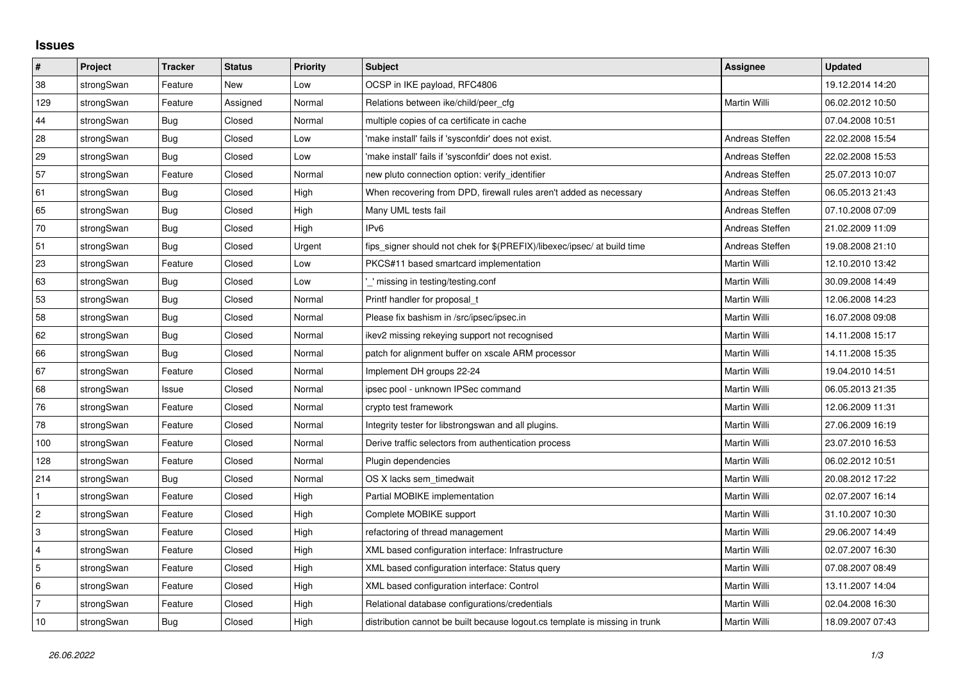## **Issues**

| $\pmb{\sharp}$ | Project    | <b>Tracker</b> | <b>Status</b> | <b>Priority</b> | <b>Subject</b>                                                              | <b>Assignee</b> | <b>Updated</b>   |
|----------------|------------|----------------|---------------|-----------------|-----------------------------------------------------------------------------|-----------------|------------------|
| 38             | strongSwan | Feature        | New           | Low             | OCSP in IKE payload, RFC4806                                                |                 | 19.12.2014 14:20 |
| 129            | strongSwan | Feature        | Assigned      | Normal          | Relations between ike/child/peer cfg                                        | Martin Willi    | 06.02.2012 10:50 |
| 44             | strongSwan | Bug            | Closed        | Normal          | multiple copies of ca certificate in cache                                  |                 | 07.04.2008 10:51 |
| 28             | strongSwan | <b>Bug</b>     | Closed        | Low             | 'make install' fails if 'sysconfdir' does not exist.                        | Andreas Steffen | 22.02.2008 15:54 |
| 29             | strongSwan | Bug            | Closed        | Low             | 'make install' fails if 'sysconfdir' does not exist.                        | Andreas Steffen | 22.02.2008 15:53 |
| 57             | strongSwan | Feature        | Closed        | Normal          | new pluto connection option: verify_identifier                              | Andreas Steffen | 25.07.2013 10:07 |
| 61             | strongSwan | Bug            | Closed        | High            | When recovering from DPD, firewall rules aren't added as necessary          | Andreas Steffen | 06.05.2013 21:43 |
| 65             | strongSwan | Bug            | Closed        | High            | Many UML tests fail                                                         | Andreas Steffen | 07.10.2008 07:09 |
| $70\,$         | strongSwan | Bug            | Closed        | High            | IP <sub>v6</sub>                                                            | Andreas Steffen | 21.02.2009 11:09 |
| 51             | strongSwan | Bug            | Closed        | Urgent          | fips signer should not chek for \$(PREFIX)/libexec/ipsec/ at build time     | Andreas Steffen | 19.08.2008 21:10 |
| 23             | strongSwan | Feature        | Closed        | Low             | PKCS#11 based smartcard implementation                                      | Martin Willi    | 12.10.2010 13:42 |
| 63             | strongSwan | Bug            | Closed        | Low             | missing in testing/testing.conf                                             | Martin Willi    | 30.09.2008 14:49 |
| 53             | strongSwan | Bug            | Closed        | Normal          | Printf handler for proposal t                                               | Martin Willi    | 12.06.2008 14:23 |
| 58             | strongSwan | Bug            | Closed        | Normal          | Please fix bashism in /src/ipsec/ipsec.in                                   | Martin Willi    | 16.07.2008 09:08 |
| 62             | strongSwan | Bug            | Closed        | Normal          | ikev2 missing rekeying support not recognised                               | Martin Willi    | 14.11.2008 15:17 |
| 66             | strongSwan | Bug            | Closed        | Normal          | patch for alignment buffer on xscale ARM processor                          | Martin Willi    | 14.11.2008 15:35 |
| 67             | strongSwan | Feature        | Closed        | Normal          | Implement DH groups 22-24                                                   | Martin Willi    | 19.04.2010 14:51 |
| 68             | strongSwan | Issue          | Closed        | Normal          | ipsec pool - unknown IPSec command                                          | Martin Willi    | 06.05.2013 21:35 |
| 76             | strongSwan | Feature        | Closed        | Normal          | crypto test framework                                                       | Martin Willi    | 12.06.2009 11:31 |
| 78             | strongSwan | Feature        | Closed        | Normal          | Integrity tester for libstrongswan and all plugins.                         | Martin Willi    | 27.06.2009 16:19 |
| 100            | strongSwan | Feature        | Closed        | Normal          | Derive traffic selectors from authentication process                        | Martin Willi    | 23.07.2010 16:53 |
| 128            | strongSwan | Feature        | Closed        | Normal          | Plugin dependencies                                                         | Martin Willi    | 06.02.2012 10:51 |
| 214            | strongSwan | Bug            | Closed        | Normal          | OS X lacks sem timedwait                                                    | Martin Willi    | 20.08.2012 17:22 |
|                | strongSwan | Feature        | Closed        | High            | Partial MOBIKE implementation                                               | Martin Willi    | 02.07.2007 16:14 |
| $\sqrt{2}$     | strongSwan | Feature        | Closed        | High            | Complete MOBIKE support                                                     | Martin Willi    | 31.10.2007 10:30 |
| $\,3$          | strongSwan | Feature        | Closed        | High            | refactoring of thread management                                            | Martin Willi    | 29.06.2007 14:49 |
| $\overline{4}$ | strongSwan | Feature        | Closed        | High            | XML based configuration interface: Infrastructure                           | Martin Willi    | 02.07.2007 16:30 |
| 5              | strongSwan | Feature        | Closed        | High            | XML based configuration interface: Status query                             | Martin Willi    | 07.08.2007 08:49 |
| 6              | strongSwan | Feature        | Closed        | High            | XML based configuration interface: Control                                  | Martin Willi    | 13.11.2007 14:04 |
| $\overline{7}$ | strongSwan | Feature        | Closed        | High            | Relational database configurations/credentials                              | Martin Willi    | 02.04.2008 16:30 |
| 10             | strongSwan | Bug            | Closed        | High            | distribution cannot be built because logout.cs template is missing in trunk | Martin Willi    | 18.09.2007 07:43 |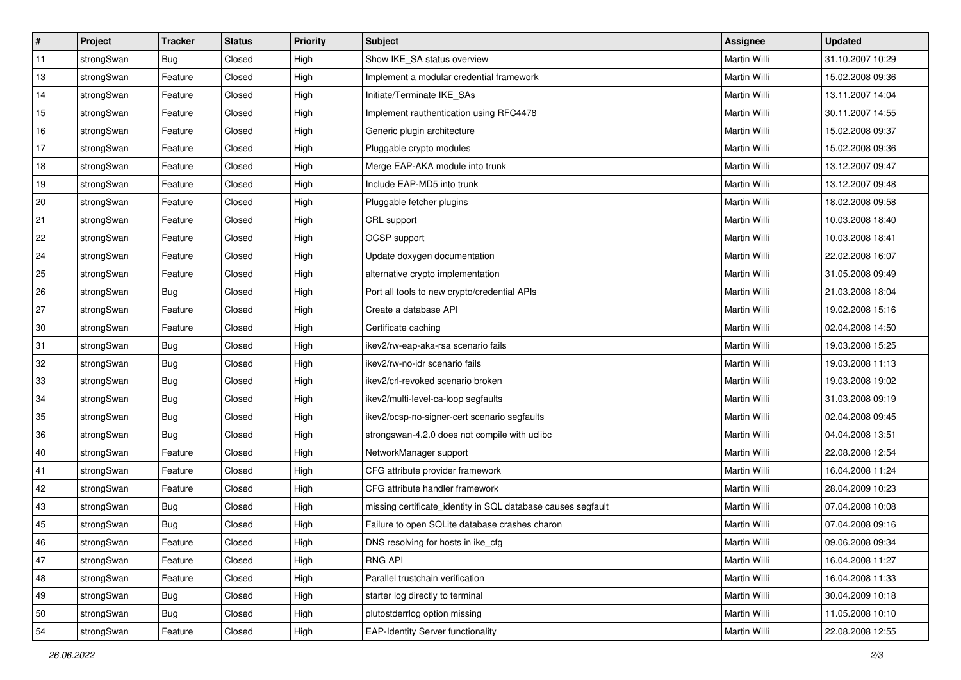| $\vert$ # | Project    | <b>Tracker</b> | <b>Status</b> | <b>Priority</b> | <b>Subject</b>                                               | <b>Assignee</b>     | <b>Updated</b>   |
|-----------|------------|----------------|---------------|-----------------|--------------------------------------------------------------|---------------------|------------------|
| 11        | strongSwan | Bug            | Closed        | High            | Show IKE_SA status overview                                  | Martin Willi        | 31.10.2007 10:29 |
| 13        | strongSwan | Feature        | Closed        | High            | Implement a modular credential framework                     | <b>Martin Willi</b> | 15.02.2008 09:36 |
| 14        | strongSwan | Feature        | Closed        | High            | Initiate/Terminate IKE SAs                                   | Martin Willi        | 13.11.2007 14:04 |
| 15        | strongSwan | Feature        | Closed        | High            | Implement rauthentication using RFC4478                      | Martin Willi        | 30.11.2007 14:55 |
| 16        | strongSwan | Feature        | Closed        | High            | Generic plugin architecture                                  | Martin Willi        | 15.02.2008 09:37 |
| 17        | strongSwan | Feature        | Closed        | High            | Pluggable crypto modules                                     | Martin Willi        | 15.02.2008 09:36 |
| 18        | strongSwan | Feature        | Closed        | High            | Merge EAP-AKA module into trunk                              | Martin Willi        | 13.12.2007 09:47 |
| 19        | strongSwan | Feature        | Closed        | High            | Include EAP-MD5 into trunk                                   | Martin Willi        | 13.12.2007 09:48 |
| 20        | strongSwan | Feature        | Closed        | High            | Pluggable fetcher plugins                                    | Martin Willi        | 18.02.2008 09:58 |
| 21        | strongSwan | Feature        | Closed        | High            | CRL support                                                  | Martin Willi        | 10.03.2008 18:40 |
| 22        | strongSwan | Feature        | Closed        | High            | OCSP support                                                 | Martin Willi        | 10.03.2008 18:41 |
| 24        | strongSwan | Feature        | Closed        | High            | Update doxygen documentation                                 | Martin Willi        | 22.02.2008 16:07 |
| 25        | strongSwan | Feature        | Closed        | High            | alternative crypto implementation                            | <b>Martin Willi</b> | 31.05.2008 09:49 |
| 26        | strongSwan | <b>Bug</b>     | Closed        | High            | Port all tools to new crypto/credential APIs                 | Martin Willi        | 21.03.2008 18:04 |
| 27        | strongSwan | Feature        | Closed        | High            | Create a database API                                        | <b>Martin Willi</b> | 19.02.2008 15:16 |
| 30        | strongSwan | Feature        | Closed        | High            | Certificate caching                                          | Martin Willi        | 02.04.2008 14:50 |
| 31        | strongSwan | <b>Bug</b>     | Closed        | High            | ikev2/rw-eap-aka-rsa scenario fails                          | <b>Martin Willi</b> | 19.03.2008 15:25 |
| 32        | strongSwan | Bug            | Closed        | High            | ikev2/rw-no-idr scenario fails                               | Martin Willi        | 19.03.2008 11:13 |
| 33        | strongSwan | Bug            | Closed        | High            | ikev2/crl-revoked scenario broken                            | Martin Willi        | 19.03.2008 19:02 |
| 34        | strongSwan | Bug            | Closed        | High            | ikev2/multi-level-ca-loop segfaults                          | <b>Martin Willi</b> | 31.03.2008 09:19 |
| 35        | strongSwan | Bug            | Closed        | High            | ikev2/ocsp-no-signer-cert scenario segfaults                 | Martin Willi        | 02.04.2008 09:45 |
| 36        | strongSwan | Bug            | Closed        | High            | strongswan-4.2.0 does not compile with uclibc                | Martin Willi        | 04.04.2008 13:51 |
| 40        | strongSwan | Feature        | Closed        | High            | NetworkManager support                                       | Martin Willi        | 22.08.2008 12:54 |
| 41        | strongSwan | Feature        | Closed        | High            | CFG attribute provider framework                             | Martin Willi        | 16.04.2008 11:24 |
| 42        | strongSwan | Feature        | Closed        | High            | CFG attribute handler framework                              | Martin Willi        | 28.04.2009 10:23 |
| 43        | strongSwan | Bug            | Closed        | High            | missing certificate_identity in SQL database causes segfault | Martin Willi        | 07.04.2008 10:08 |
| 45        | strongSwan | Bug            | Closed        | High            | Failure to open SQLite database crashes charon               | Martin Willi        | 07.04.2008 09:16 |
| 46        | strongSwan | Feature        | Closed        | High            | DNS resolving for hosts in ike_cfg                           | Martin Willi        | 09.06.2008 09:34 |
| 47        | strongSwan | Feature        | Closed        | High            | RNG API                                                      | Martin Willi        | 16.04.2008 11:27 |
| 48        | strongSwan | Feature        | Closed        | High            | Parallel trustchain verification                             | Martin Willi        | 16.04.2008 11:33 |
| 49        | strongSwan | Bug            | Closed        | High            | starter log directly to terminal                             | Martin Willi        | 30.04.2009 10:18 |
| 50        | strongSwan | Bug            | Closed        | High            | plutostderrlog option missing                                | Martin Willi        | 11.05.2008 10:10 |
| 54        | strongSwan | Feature        | Closed        | High            | <b>EAP-Identity Server functionality</b>                     | Martin Willi        | 22.08.2008 12:55 |